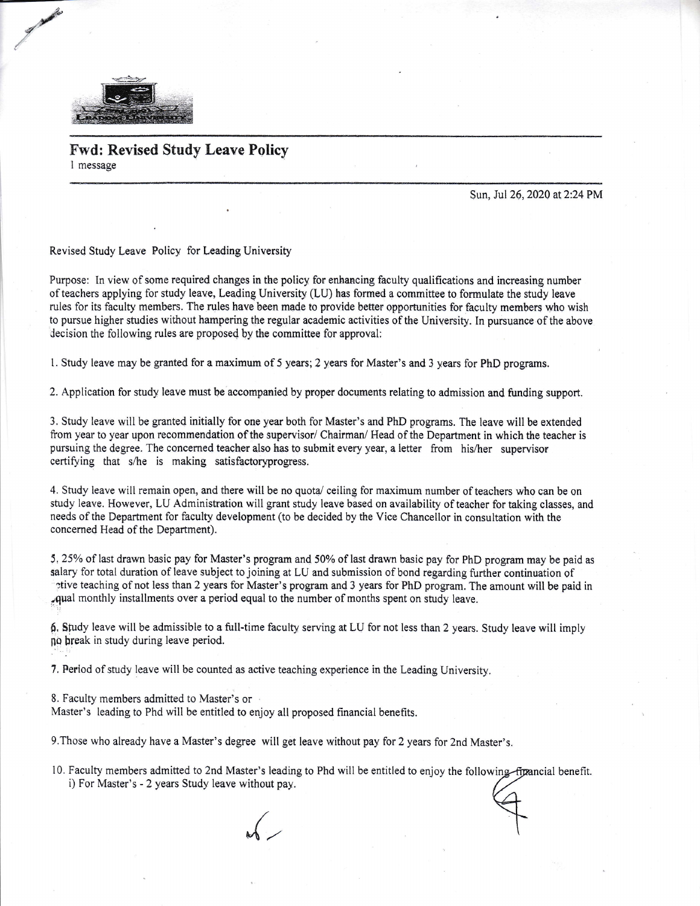

A, Zakowiech wychowech wychowech wychowech wychowech wychowech wychowech wychowech wychowech wychowech wychowech wychowech wychowech wychowech wychowech wychowech wychowech wychowech wychowech wychowech wychowech wychowech

/

Fwd: Revised Study Leave Policy I message

Sun, Jul 26, 2020 at 2:24 PM

Revised Study Leave Policy for Leading University

Purpose: In view of some required changes in the policy for enhancing faculty qualifications and increasing number of teachers applying for study leave, Leading University (LU) has formed a committee to formulate the study leave rules for its faculty members. The rules have been made to provide better opportunities for faculty members who wish to pursue higher studies without hampering the regular academic activities of the University. In pursuance of the above Jecision the following rules are proposed by the committee for approval:

<sup>I</sup>. Study leave may be granted for a maximum of 5 years; 2 years for Master's and 3 years for PhD programs.

2. Application for study leave must be accompanied by proper documents relating to admission and funding support.

3. Study leave will be granted initially for one year both for Master's and PhD programs. The leave will be extended from year to year upon recommendation of the supervisor/ Chairman/ Head of the Department in which the teacher is pursuing the degree. The concerned teacher also has to submit every year, a letter from his/her supervisor certifying that s/he is making satisfactoryprogress.

4. Study leave will remain open, and there will be no quota/ ceiling for maximum number of teachers who can be on study leave. However, LU Administration will grant study leave based on availability of teacher for taking classes, and needs of the Department for faculty development (to be decided by the Vice Chancellor in consultation with the concerned Head of the Department).

5,25% of last drawn basic pay for Master's program and 50% of last drawn basic pay for PhD program may be paid as salary for total duration of leave subject to joining at LU and submission of bond regarding further continuation of etive teaching of not less than 2 years for Master's program and 3 years for PhD program. The amount will be paid in ;qual monthly installments over a period equal to the number of months spent on study leave.

6, Sfudy leave will be admissible to a full-time faculty serving at LU for not less than 2 years. Study leave will impty no break in study during leave period.

7, Period of study leave will be counted as active teaching experience in the Leading University.

8. Faculty members admitted to Master's or

Master's leading to Phd will be entitled to enjoy all proposed financial benefits.

9.Those who already have a Master's degree will get leave without pay for 2 years for 2nd Master's.

10. Faculty members admitted to 2nd Master's leading to Phd will be entitled to enjoy the following financial benefit. i) For Master's - 2 years Study leave without pay.

 $\mathcal{A}$